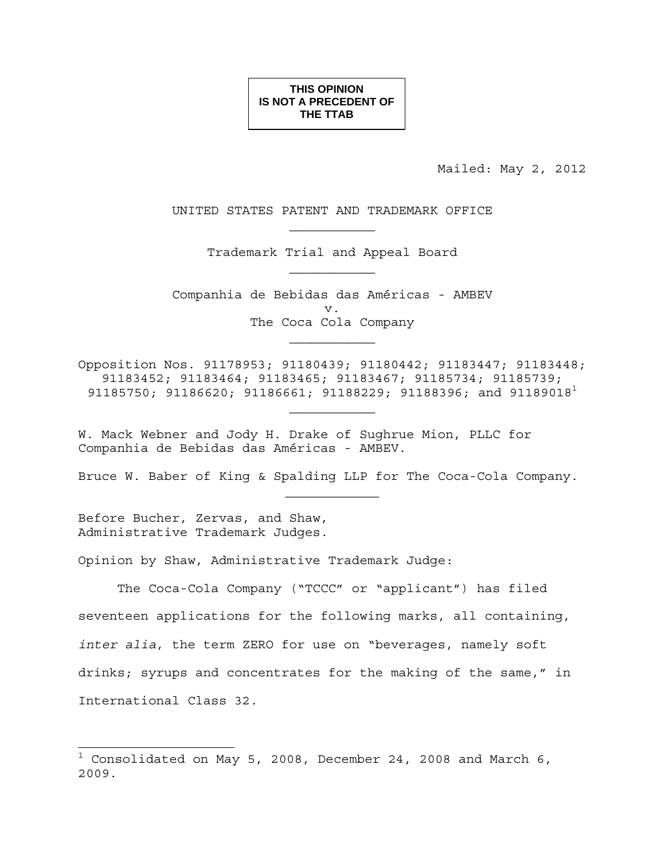**THIS OPINION IS NOT A PRECEDENT OF THE TTAB**

Mailed: May 2, 2012

UNITED STATES PATENT AND TRADEMARK OFFICE

Trademark Trial and Appeal Board  $\mathcal{L}_\text{max}$ 

Companhia de Bebidas das Américas - AMBEV v. The Coca Cola Company  $\mathcal{L}_\text{max}$ 

Opposition Nos. 91178953; 91180439; 91180442; 91183447; 91183448; 91183452; 91183464; 91183465; 91183467; 91185734; 91185739; 91185750; 91186620; 91186661; 91188229; 91188396; and 91189018<sup>1</sup>

 $\mathcal{L}_\text{max}$ 

W. Mack Webner and Jody H. Drake of Sughrue Mion, PLLC for Companhia de Bebidas das Américas - AMBEV.

Bruce W. Baber of King & Spalding LLP for The Coca-Cola Company.

Before Bucher, Zervas, and Shaw, Administrative Trademark Judges.

 $\overline{a}$ 

Opinion by Shaw, Administrative Trademark Judge:

The Coca-Cola Company ("TCCC" or "applicant") has filed seventeen applications for the following marks, all containing, *inter alia*, the term ZERO for use on "beverages, namely soft drinks; syrups and concentrates for the making of the same," in International Class 32.

 $^{\rm 1}$  Consolidated on May 5, 2008, December 24, 2008 and March 6, 2009.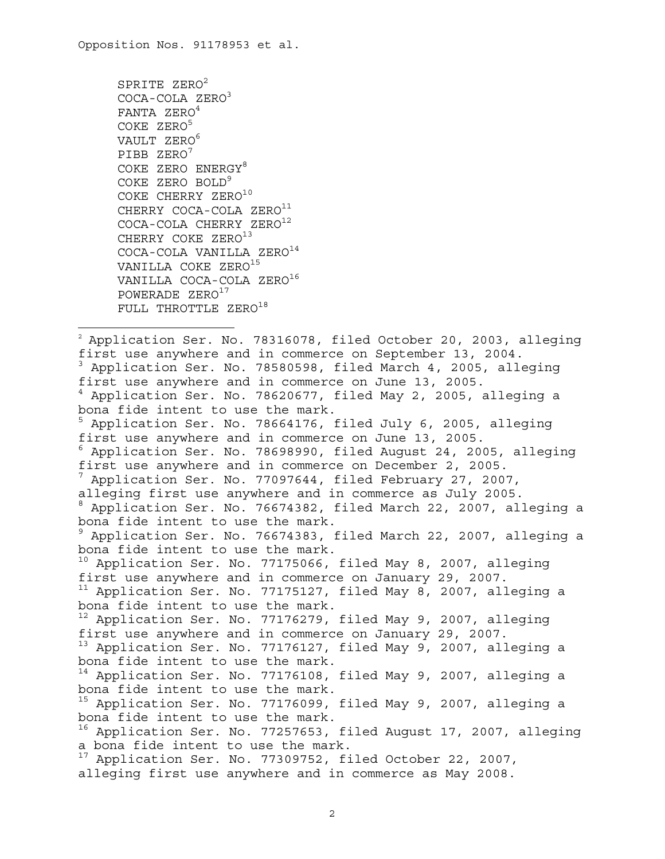SPRITE ZERO<sup>2</sup> COCA-COLA ZERO<sup>3</sup> FANTA ZERO<sup>4</sup> COKE ZERO5 VAULT ZERO<sup>6</sup> PIBB ZERO<sup>7</sup> COKE ZERO ENERGY8 COKE ZERO BOLD<sup>9</sup> COKE CHERRY ZERO<sup>10</sup> CHERRY COCA-COLA ZERO<sup>11</sup> COCA-COLA CHERRY ZERO<sup>12</sup> CHERRY COKE ZERO<sup>13</sup> COCA-COLA VANILLA ZERO<sup>14</sup> VANILLA COKE ZERO<sup>15</sup> VANILLA COCA-COLA ZERO<sup>16</sup> POWERADE ZERO<sup>17</sup> FULL THROTTLE ZERO<sup>18</sup>

 $\overline{a}$ 

 $2$  Application Ser. No. 78316078, filed October 20, 2003, alleging first use anywhere and in commerce on September 13, 2004. <sup>3</sup> Application Ser. No. 78580598, filed March 4, 2005, alleging first use anywhere and in commerce on June 13, 2005. 4 Application Ser. No. 78620677, filed May 2, 2005, alleging a bona fide intent to use the mark. <sup>5</sup> Application Ser. No. 78664176, filed July 6, 2005, alleging first use anywhere and in commerce on June 13, 2005. 6 Application Ser. No. 78698990, filed August 24, 2005, alleging first use anywhere and in commerce on December 2, 2005. 7 Application Ser. No. 77097644, filed February 27, 2007, alleging first use anywhere and in commerce as July 2005. 8 Application Ser. No. 76674382, filed March 22, 2007, alleging a bona fide intent to use the mark. 9 Application Ser. No. 76674383, filed March 22, 2007, alleging a bona fide intent to use the mark.  $10$  Application Ser. No. 77175066, filed May 8, 2007, alleging first use anywhere and in commerce on January 29, 2007. <sup>11</sup> Application Ser. No. 77175127, filed May 8, 2007, alleging a bona fide intent to use the mark. <sup>12</sup> Application Ser. No. 77176279, filed May 9, 2007, alleging first use anywhere and in commerce on January 29, 2007. 13 Application Ser. No. 77176127, filed May 9, 2007, alleging a bona fide intent to use the mark. <sup>14</sup> Application Ser. No. 77176108, filed May 9, 2007, alleging a bona fide intent to use the mark. <sup>15</sup> Application Ser. No. 77176099, filed May 9, 2007, alleging a bona fide intent to use the mark. <sup>16</sup> Application Ser. No. 77257653, filed August 17, 2007, alleging a bona fide intent to use the mark. <sup>17</sup> Application Ser. No. 77309752, filed October 22, 2007, alleging first use anywhere and in commerce as May 2008.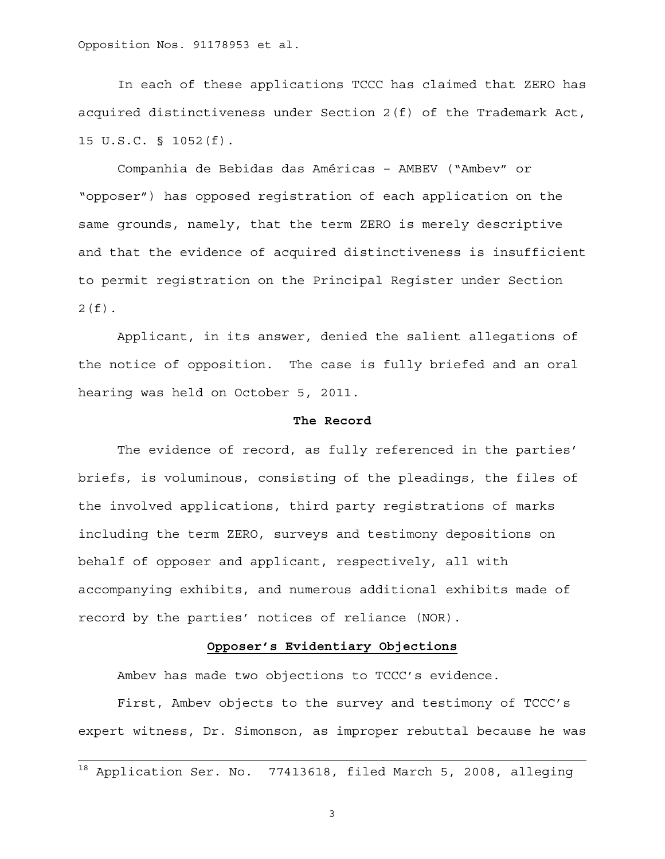In each of these applications TCCC has claimed that ZERO has acquired distinctiveness under Section 2(f) of the Trademark Act, 15 U.S.C. § 1052(f).

Companhia de Bebidas das Américas – AMBEV ("Ambev" or "opposer") has opposed registration of each application on the same grounds, namely, that the term ZERO is merely descriptive and that the evidence of acquired distinctiveness is insufficient to permit registration on the Principal Register under Section  $2(f)$ .

Applicant, in its answer, denied the salient allegations of the notice of opposition. The case is fully briefed and an oral hearing was held on October 5, 2011.

### **The Record**

The evidence of record, as fully referenced in the parties' briefs, is voluminous, consisting of the pleadings, the files of the involved applications, third party registrations of marks including the term ZERO, surveys and testimony depositions on behalf of opposer and applicant, respectively, all with accompanying exhibits, and numerous additional exhibits made of record by the parties' notices of reliance (NOR).

### **Opposer's Evidentiary Objections**

Ambev has made two objections to TCCC's evidence.

First, Ambev objects to the survey and testimony of TCCC's expert witness, Dr. Simonson, as improper rebuttal because he was

<sup>&</sup>lt;sup>18</sup> Application Ser. No. 77413618, filed March 5, 2008, alleging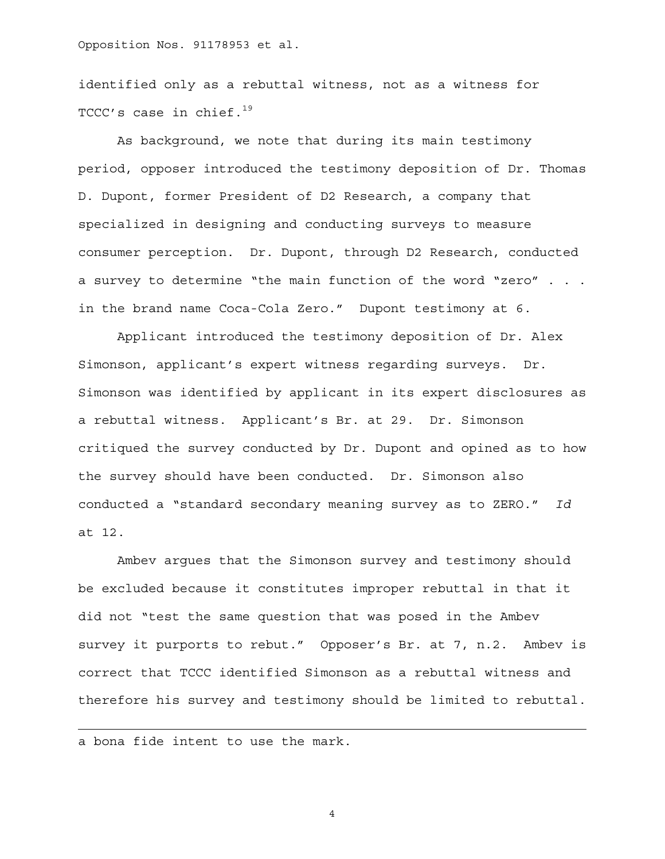identified only as a rebuttal witness, not as a witness for TCCC's case in chief. $19$ 

As background, we note that during its main testimony period, opposer introduced the testimony deposition of Dr. Thomas D. Dupont, former President of D2 Research, a company that specialized in designing and conducting surveys to measure consumer perception. Dr. Dupont, through D2 Research, conducted a survey to determine "the main function of the word "zero" . . . in the brand name Coca-Cola Zero." Dupont testimony at 6.

Applicant introduced the testimony deposition of Dr. Alex Simonson, applicant's expert witness regarding surveys. Dr. Simonson was identified by applicant in its expert disclosures as a rebuttal witness. Applicant's Br. at 29. Dr. Simonson critiqued the survey conducted by Dr. Dupont and opined as to how the survey should have been conducted. Dr. Simonson also conducted a "standard secondary meaning survey as to ZERO." *Id* at 12.

Ambev argues that the Simonson survey and testimony should be excluded because it constitutes improper rebuttal in that it did not "test the same question that was posed in the Ambev survey it purports to rebut." Opposer's Br. at 7, n.2. Ambev is correct that TCCC identified Simonson as a rebuttal witness and therefore his survey and testimony should be limited to rebuttal.

a bona fide intent to use the mark.

 $\overline{a}$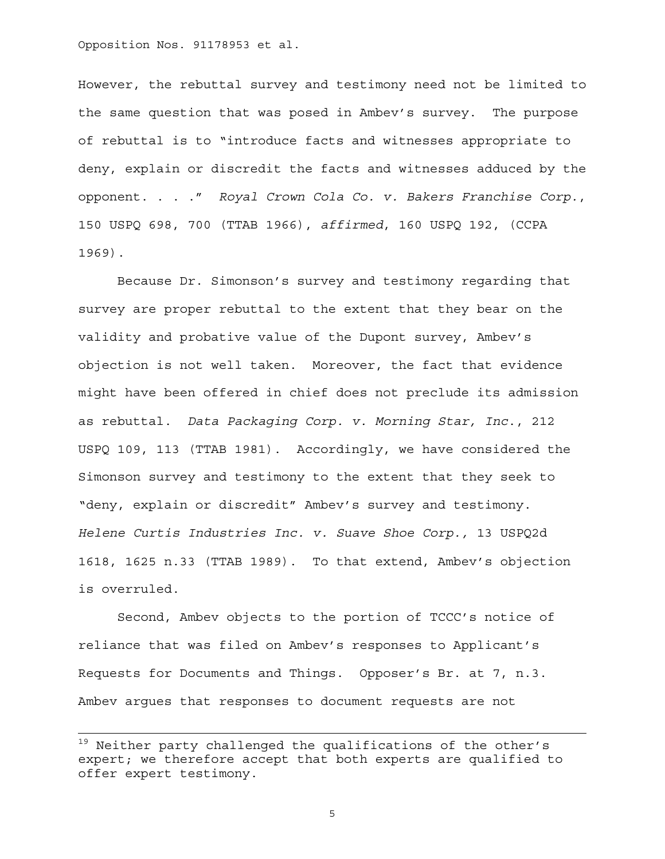However, the rebuttal survey and testimony need not be limited to the same question that was posed in Ambev's survey. The purpose of rebuttal is to "introduce facts and witnesses appropriate to deny, explain or discredit the facts and witnesses adduced by the opponent. . . ." *Royal Crown Cola Co. v. Bakers Franchise Corp.*, 150 USPQ 698, 700 (TTAB 1966), *affirmed*, 160 USPQ 192, (CCPA 1969).

Because Dr. Simonson's survey and testimony regarding that survey are proper rebuttal to the extent that they bear on the validity and probative value of the Dupont survey, Ambev's objection is not well taken. Moreover, the fact that evidence might have been offered in chief does not preclude its admission as rebuttal. *Data Packaging Corp. v. Morning Star, Inc*., 212 USPQ 109, 113 (TTAB 1981). Accordingly, we have considered the Simonson survey and testimony to the extent that they seek to "deny, explain or discredit" Ambev's survey and testimony. *Helene Curtis Industries Inc. v. Suave Shoe Corp.,* 13 USPQ2d 1618, 1625 n.33 (TTAB 1989). To that extend, Ambev's objection is overruled.

Second, Ambev objects to the portion of TCCC's notice of reliance that was filed on Ambev's responses to Applicant's Requests for Documents and Things. Opposer's Br. at 7, n.3. Ambev argues that responses to document requests are not

<sup>&</sup>lt;sup>19</sup> Neither party challenged the qualifications of the other's expert; we therefore accept that both experts are qualified to offer expert testimony.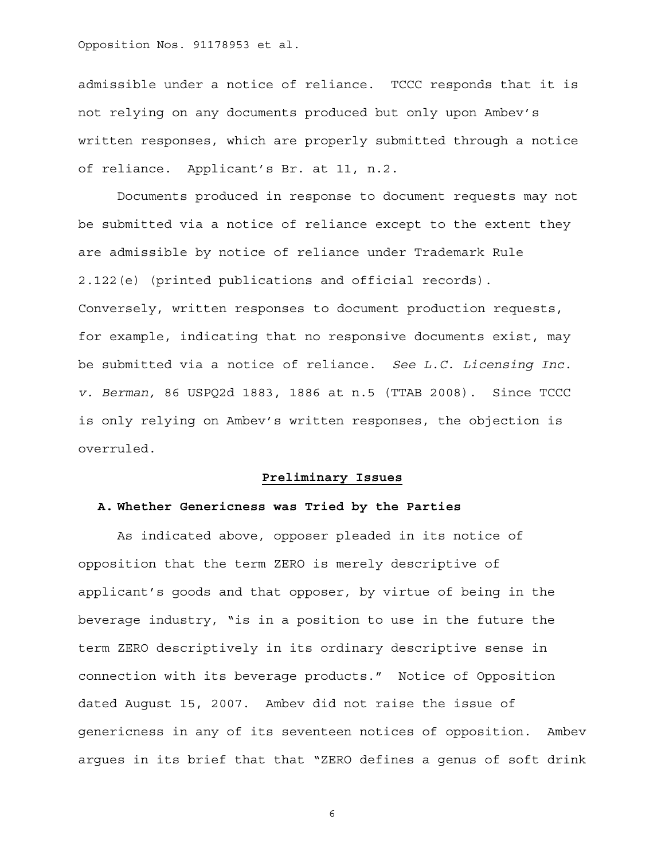admissible under a notice of reliance. TCCC responds that it is not relying on any documents produced but only upon Ambev's written responses, which are properly submitted through a notice of reliance. Applicant's Br. at 11, n.2.

Documents produced in response to document requests may not be submitted via a notice of reliance except to the extent they are admissible by notice of reliance under Trademark Rule 2.122(e) (printed publications and official records). Conversely, written responses to document production requests, for example, indicating that no responsive documents exist, may be submitted via a notice of reliance. *See L.C. Licensing Inc. v. Berman,* 86 USPQ2d 1883, 1886 at n.5 (TTAB 2008). Since TCCC is only relying on Ambev's written responses, the objection is overruled.

# **Preliminary Issues**

## **A. Whether Genericness was Tried by the Parties**

As indicated above, opposer pleaded in its notice of opposition that the term ZERO is merely descriptive of applicant's goods and that opposer, by virtue of being in the beverage industry, "is in a position to use in the future the term ZERO descriptively in its ordinary descriptive sense in connection with its beverage products." Notice of Opposition dated August 15, 2007. Ambev did not raise the issue of genericness in any of its seventeen notices of opposition. Ambev argues in its brief that that "ZERO defines a genus of soft drink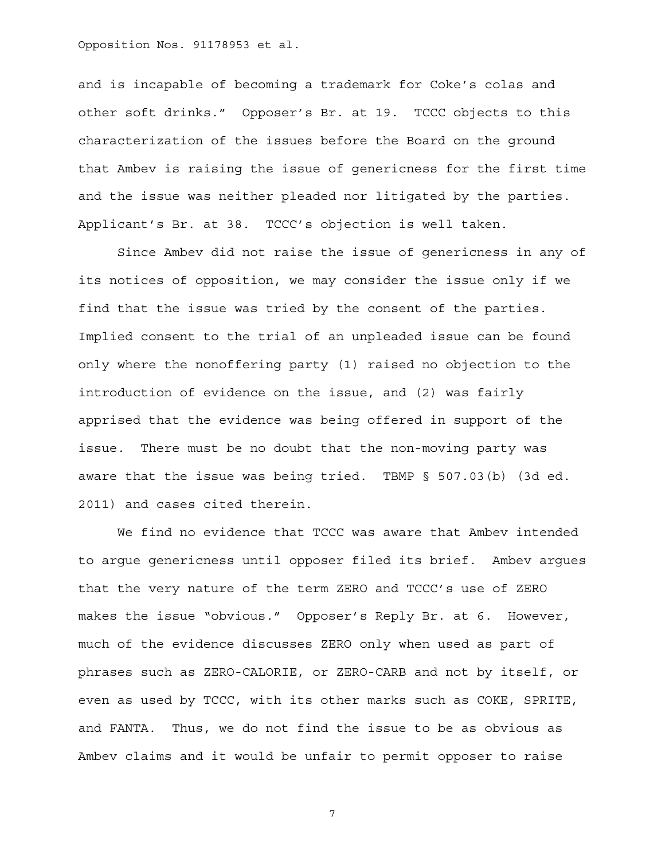and is incapable of becoming a trademark for Coke's colas and other soft drinks." Opposer's Br. at 19. TCCC objects to this characterization of the issues before the Board on the ground that Ambev is raising the issue of genericness for the first time and the issue was neither pleaded nor litigated by the parties. Applicant's Br. at 38. TCCC's objection is well taken.

Since Ambev did not raise the issue of genericness in any of its notices of opposition, we may consider the issue only if we find that the issue was tried by the consent of the parties. Implied consent to the trial of an unpleaded issue can be found only where the nonoffering party (1) raised no objection to the introduction of evidence on the issue, and (2) was fairly apprised that the evidence was being offered in support of the issue. There must be no doubt that the non-moving party was aware that the issue was being tried. TBMP § 507.03(b) (3d ed. 2011) and cases cited therein.

We find no evidence that TCCC was aware that Ambev intended to argue genericness until opposer filed its brief. Ambev argues that the very nature of the term ZERO and TCCC's use of ZERO makes the issue "obvious." Opposer's Reply Br. at 6. However, much of the evidence discusses ZERO only when used as part of phrases such as ZERO-CALORIE, or ZERO-CARB and not by itself, or even as used by TCCC, with its other marks such as COKE, SPRITE, and FANTA. Thus, we do not find the issue to be as obvious as Ambev claims and it would be unfair to permit opposer to raise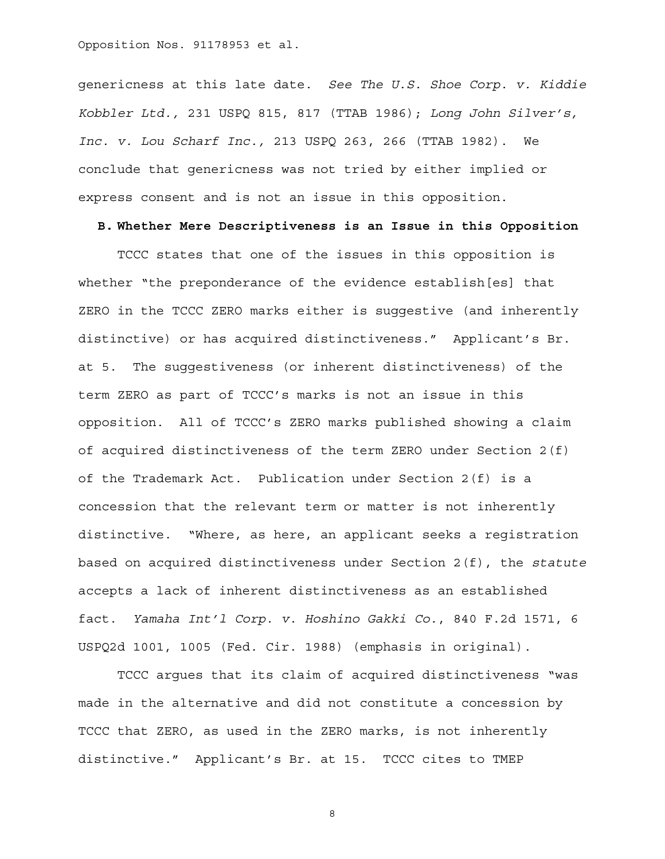genericness at this late date. *See The U.S. Shoe Corp. v. Kiddie Kobbler Ltd.,* 231 USPQ 815, 817 (TTAB 1986); *Long John Silver's, Inc. v. Lou Scharf Inc.,* 213 USPQ 263, 266 (TTAB 1982). We conclude that genericness was not tried by either implied or express consent and is not an issue in this opposition.

**B. Whether Mere Descriptiveness is an Issue in this Opposition** 

TCCC states that one of the issues in this opposition is whether "the preponderance of the evidence establish[es] that ZERO in the TCCC ZERO marks either is suggestive (and inherently distinctive) or has acquired distinctiveness." Applicant's Br. at 5. The suggestiveness (or inherent distinctiveness) of the term ZERO as part of TCCC's marks is not an issue in this opposition. All of TCCC's ZERO marks published showing a claim of acquired distinctiveness of the term ZERO under Section 2(f) of the Trademark Act. Publication under Section 2(f) is a concession that the relevant term or matter is not inherently distinctive. "Where, as here, an applicant seeks a registration based on acquired distinctiveness under Section 2(f), the *statute* accepts a lack of inherent distinctiveness as an established fact. *Yamaha Int'l Corp. v. Hoshino Gakki Co.*, 840 F.2d 1571, 6 USPQ2d 1001, 1005 (Fed. Cir. 1988) (emphasis in original).

TCCC argues that its claim of acquired distinctiveness "was made in the alternative and did not constitute a concession by TCCC that ZERO, as used in the ZERO marks, is not inherently distinctive." Applicant's Br. at 15. TCCC cites to TMEP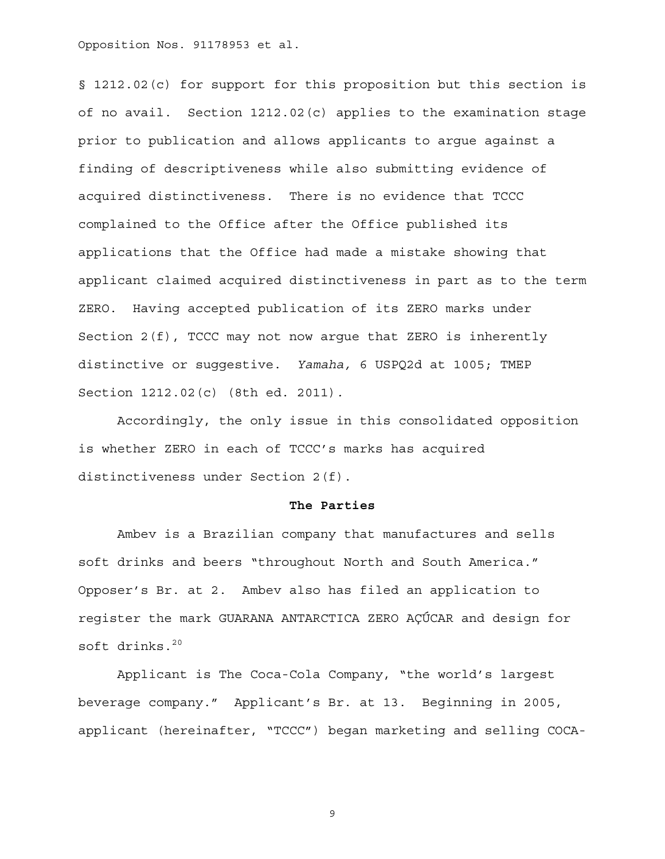§ 1212.02(c) for support for this proposition but this section is of no avail. Section 1212.02(c) applies to the examination stage prior to publication and allows applicants to argue against a finding of descriptiveness while also submitting evidence of acquired distinctiveness. There is no evidence that TCCC complained to the Office after the Office published its applications that the Office had made a mistake showing that applicant claimed acquired distinctiveness in part as to the term ZERO. Having accepted publication of its ZERO marks under Section 2(f), TCCC may not now argue that ZERO is inherently distinctive or suggestive. *Yamaha,* 6 USPQ2d at 1005; TMEP Section 1212.02(c) (8th ed. 2011)*.*

Accordingly, the only issue in this consolidated opposition is whether ZERO in each of TCCC's marks has acquired distinctiveness under Section 2(f).

#### **The Parties**

Ambev is a Brazilian company that manufactures and sells soft drinks and beers "throughout North and South America." Opposer's Br. at 2. Ambev also has filed an application to register the mark GUARANA ANTARCTICA ZERO AÇÚCAR and design for soft drinks. $20$ 

Applicant is The Coca-Cola Company, "the world's largest beverage company." Applicant's Br. at 13. Beginning in 2005, applicant (hereinafter, "TCCC") began marketing and selling COCA-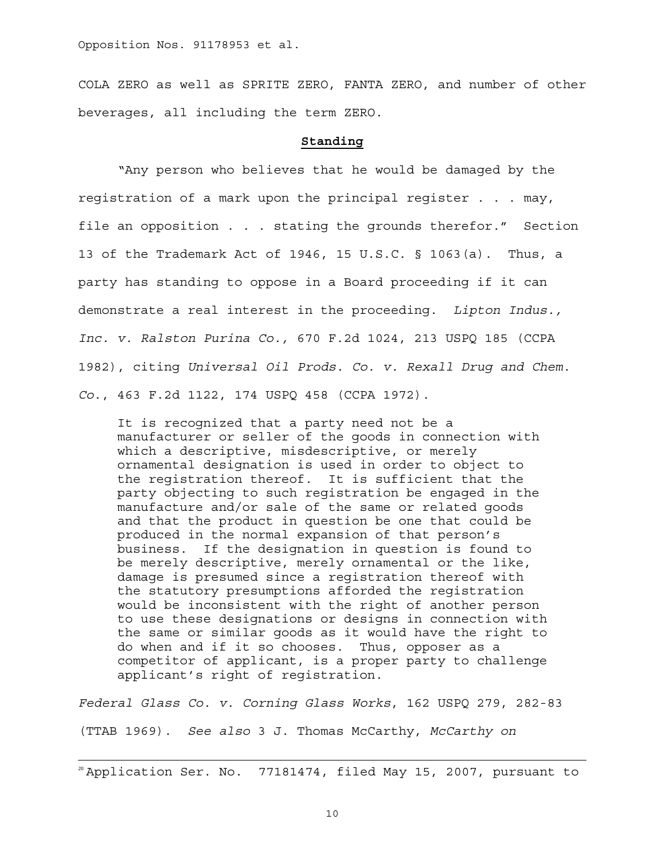COLA ZERO as well as SPRITE ZERO, FANTA ZERO, and number of other beverages, all including the term ZERO.

## **Standing**

"Any person who believes that he would be damaged by the registration of a mark upon the principal register . . . may, file an opposition . . . stating the grounds therefor." Section 13 of the Trademark Act of 1946, 15 U.S.C. § 1063(a). Thus, a party has standing to oppose in a Board proceeding if it can demonstrate a real interest in the proceeding. *Lipton Indus., Inc. v. Ralston Purina Co.,* 670 F.2d 1024, 213 USPQ 185 (CCPA 1982), citing *Universal Oil Prods. Co. v. Rexall Drug and Chem. Co*., 463 F.2d 1122, 174 USPQ 458 (CCPA 1972).

It is recognized that a party need not be a manufacturer or seller of the goods in connection with which a descriptive, misdescriptive, or merely ornamental designation is used in order to object to the registration thereof. It is sufficient that the party objecting to such registration be engaged in the manufacture and/or sale of the same or related goods and that the product in question be one that could be produced in the normal expansion of that person's business. If the designation in question is found to be merely descriptive, merely ornamental or the like, damage is presumed since a registration thereof with the statutory presumptions afforded the registration would be inconsistent with the right of another person to use these designations or designs in connection with the same or similar goods as it would have the right to do when and if it so chooses. Thus, opposer as a competitor of applicant, is a proper party to challenge applicant's right of registration.

*Federal Glass Co. v. Corning Glass Works*, 162 USPQ 279, 282-83

(TTAB 1969). *See also* 3 J. Thomas McCarthy, *McCarthy on* 

 $20$  Application Ser. No. 77181474, filed May 15, 2007, pursuant to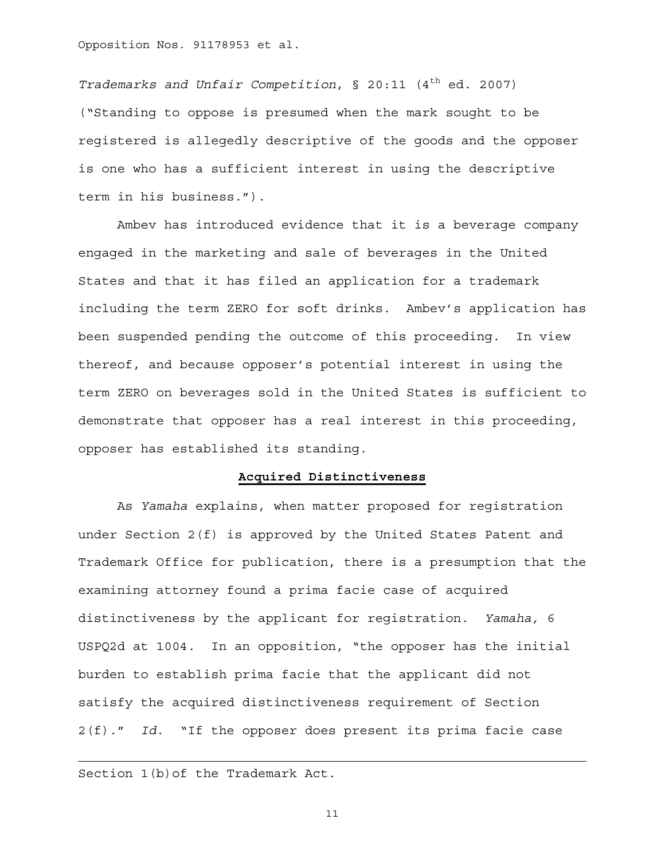*Trademarks and Unfair Competition*, § 20:11 (4<sup>th</sup> ed. 2007) ("Standing to oppose is presumed when the mark sought to be registered is allegedly descriptive of the goods and the opposer is one who has a sufficient interest in using the descriptive term in his business.").

Ambev has introduced evidence that it is a beverage company engaged in the marketing and sale of beverages in the United States and that it has filed an application for a trademark including the term ZERO for soft drinks. Ambev's application has been suspended pending the outcome of this proceeding. In view thereof, and because opposer's potential interest in using the term ZERO on beverages sold in the United States is sufficient to demonstrate that opposer has a real interest in this proceeding, opposer has established its standing.

## **Acquired Distinctiveness**

As *Yamaha* explains, when matter proposed for registration under Section 2(f) is approved by the United States Patent and Trademark Office for publication, there is a presumption that the examining attorney found a prima facie case of acquired distinctiveness by the applicant for registration. *Yamaha,* 6 USPQ2d at 1004. In an opposition, "the opposer has the initial burden to establish prima facie that the applicant did not satisfy the acquired distinctiveness requirement of Section 2(f)." *Id.* "If the opposer does present its prima facie case

Section 1(b)of the Trademark Act.

 $\overline{a}$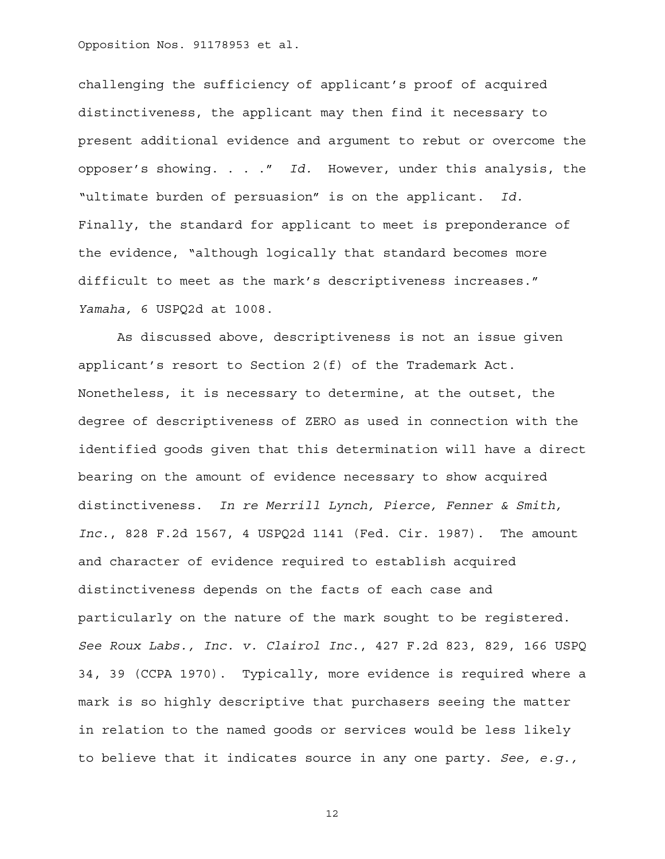challenging the sufficiency of applicant's proof of acquired distinctiveness, the applicant may then find it necessary to present additional evidence and argument to rebut or overcome the opposer's showing. . . ." *Id.* However, under this analysis, the "ultimate burden of persuasion" is on the applicant. *Id.* Finally, the standard for applicant to meet is preponderance of the evidence, "although logically that standard becomes more difficult to meet as the mark's descriptiveness increases." *Yamaha,* 6 USPQ2d at 1008.

As discussed above, descriptiveness is not an issue given applicant's resort to Section 2(f) of the Trademark Act. Nonetheless, it is necessary to determine, at the outset, the degree of descriptiveness of ZERO as used in connection with the identified goods given that this determination will have a direct bearing on the amount of evidence necessary to show acquired distinctiveness. *In re Merrill Lynch, Pierce, Fenner & Smith, Inc.*, 828 F.2d 1567, 4 USPQ2d 1141 (Fed. Cir. 1987). The amount and character of evidence required to establish acquired distinctiveness depends on the facts of each case and particularly on the nature of the mark sought to be registered. *See Roux Labs., Inc. v. Clairol Inc.*, 427 F.2d 823, 829, 166 USPQ 34, 39 (CCPA 1970). Typically, more evidence is required where a mark is so highly descriptive that purchasers seeing the matter in relation to the named goods or services would be less likely to believe that it indicates source in any one party. *See, e.g.,*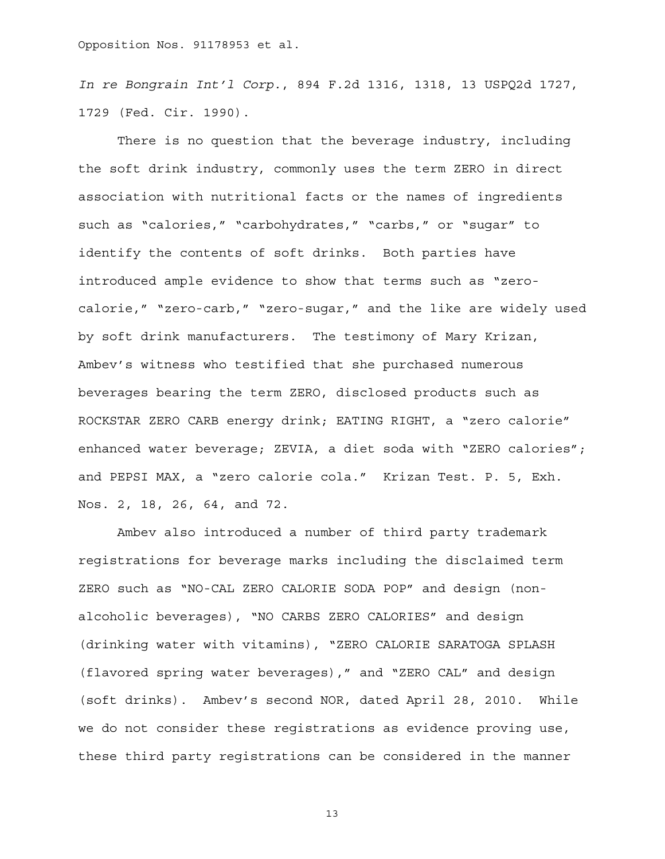*In re Bongrain Int'l Corp.*, 894 F.2d 1316, 1318, 13 USPQ2d 1727, 1729 (Fed. Cir. 1990).

There is no question that the beverage industry, including the soft drink industry, commonly uses the term ZERO in direct association with nutritional facts or the names of ingredients such as "calories," "carbohydrates," "carbs," or "sugar" to identify the contents of soft drinks. Both parties have introduced ample evidence to show that terms such as "zerocalorie," "zero-carb," "zero-sugar," and the like are widely used by soft drink manufacturers. The testimony of Mary Krizan, Ambev's witness who testified that she purchased numerous beverages bearing the term ZERO, disclosed products such as ROCKSTAR ZERO CARB energy drink; EATING RIGHT, a "zero calorie" enhanced water beverage; ZEVIA, a diet soda with "ZERO calories"; and PEPSI MAX, a "zero calorie cola." Krizan Test. P. 5, Exh. Nos. 2, 18, 26, 64, and 72.

Ambev also introduced a number of third party trademark registrations for beverage marks including the disclaimed term ZERO such as "NO-CAL ZERO CALORIE SODA POP" and design (nonalcoholic beverages), "NO CARBS ZERO CALORIES" and design (drinking water with vitamins), "ZERO CALORIE SARATOGA SPLASH (flavored spring water beverages)," and "ZERO CAL" and design (soft drinks). Ambev's second NOR, dated April 28, 2010. While we do not consider these registrations as evidence proving use, these third party registrations can be considered in the manner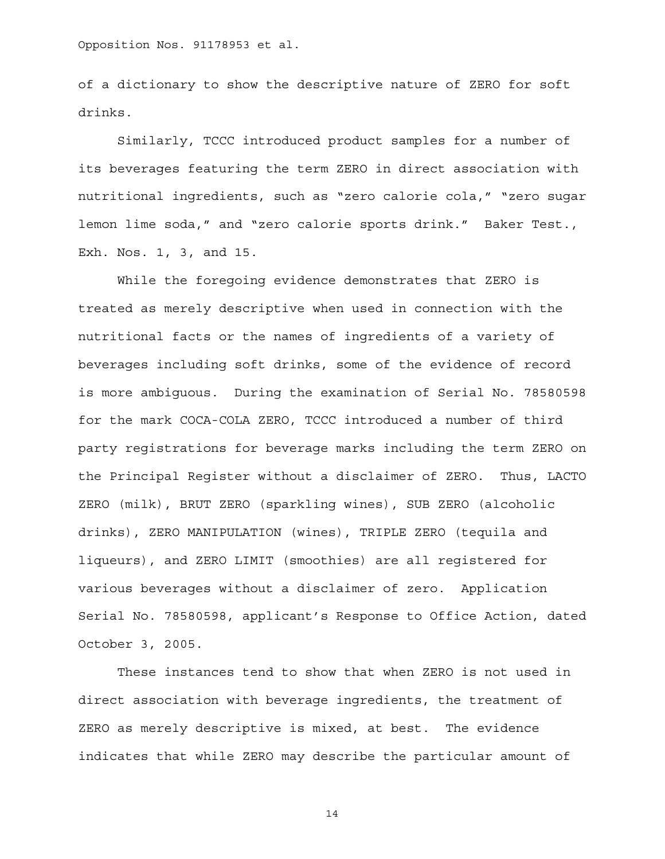of a dictionary to show the descriptive nature of ZERO for soft drinks.

Similarly, TCCC introduced product samples for a number of its beverages featuring the term ZERO in direct association with nutritional ingredients, such as "zero calorie cola," "zero sugar lemon lime soda," and "zero calorie sports drink." Baker Test., Exh. Nos. 1, 3, and 15.

While the foregoing evidence demonstrates that ZERO is treated as merely descriptive when used in connection with the nutritional facts or the names of ingredients of a variety of beverages including soft drinks, some of the evidence of record is more ambiguous. During the examination of Serial No. 78580598 for the mark COCA-COLA ZERO, TCCC introduced a number of third party registrations for beverage marks including the term ZERO on the Principal Register without a disclaimer of ZERO. Thus, LACTO ZERO (milk), BRUT ZERO (sparkling wines), SUB ZERO (alcoholic drinks), ZERO MANIPULATION (wines), TRIPLE ZERO (tequila and liqueurs), and ZERO LIMIT (smoothies) are all registered for various beverages without a disclaimer of zero. Application Serial No. 78580598, applicant's Response to Office Action, dated October 3, 2005.

These instances tend to show that when ZERO is not used in direct association with beverage ingredients, the treatment of ZERO as merely descriptive is mixed, at best. The evidence indicates that while ZERO may describe the particular amount of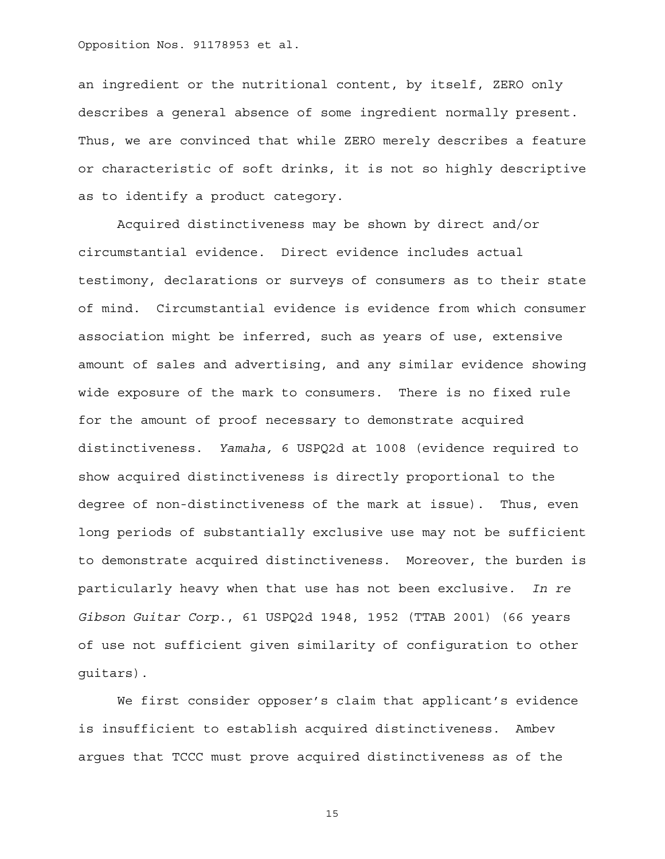an ingredient or the nutritional content, by itself, ZERO only describes a general absence of some ingredient normally present. Thus, we are convinced that while ZERO merely describes a feature or characteristic of soft drinks, it is not so highly descriptive as to identify a product category.

Acquired distinctiveness may be shown by direct and/or circumstantial evidence. Direct evidence includes actual testimony, declarations or surveys of consumers as to their state of mind. Circumstantial evidence is evidence from which consumer association might be inferred, such as years of use, extensive amount of sales and advertising, and any similar evidence showing wide exposure of the mark to consumers. There is no fixed rule for the amount of proof necessary to demonstrate acquired distinctiveness. *Yamaha,* 6 USPQ2d at 1008 (evidence required to show acquired distinctiveness is directly proportional to the degree of non-distinctiveness of the mark at issue). Thus, even long periods of substantially exclusive use may not be sufficient to demonstrate acquired distinctiveness. Moreover, the burden is particularly heavy when that use has not been exclusive*. In re Gibson Guitar Corp*., 61 USPQ2d 1948, 1952 (TTAB 2001) (66 years of use not sufficient given similarity of configuration to other guitars).

We first consider opposer's claim that applicant's evidence is insufficient to establish acquired distinctiveness. Ambev argues that TCCC must prove acquired distinctiveness as of the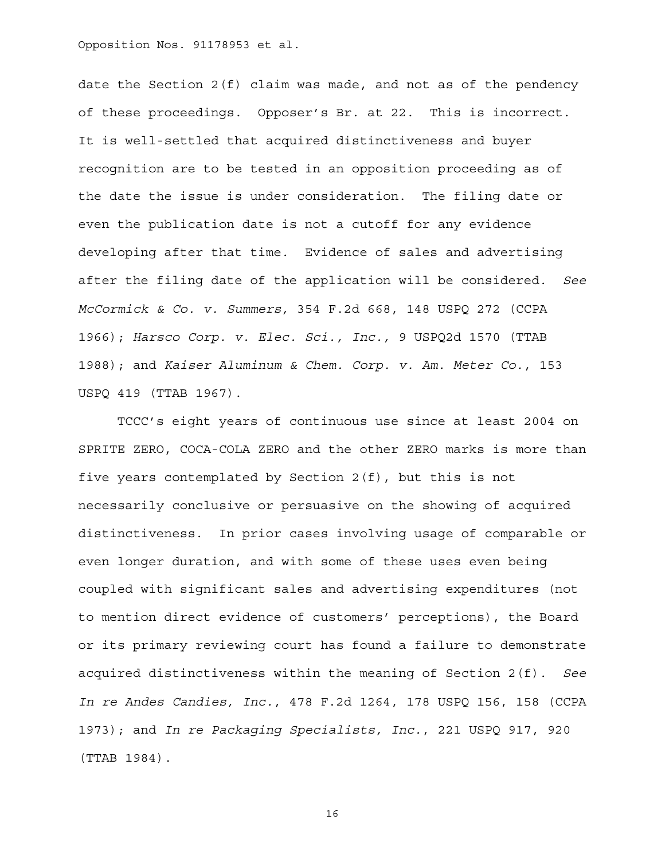date the Section  $2(f)$  claim was made, and not as of the pendency of these proceedings. Opposer's Br. at 22. This is incorrect. It is well-settled that acquired distinctiveness and buyer recognition are to be tested in an opposition proceeding as of the date the issue is under consideration. The filing date or even the publication date is not a cutoff for any evidence developing after that time. Evidence of sales and advertising after the filing date of the application will be considered. *See McCormick & Co. v. Summers,* 354 F.2d 668, 148 USPQ 272 (CCPA 1966); *Harsco Corp. v. Elec. Sci., Inc.,* 9 USPQ2d 1570 (TTAB 1988); and *Kaiser Aluminum & Chem. Corp. v. Am. Meter Co.*, 153 USPQ 419 (TTAB 1967).

TCCC's eight years of continuous use since at least 2004 on SPRITE ZERO, COCA-COLA ZERO and the other ZERO marks is more than five years contemplated by Section 2(f), but this is not necessarily conclusive or persuasive on the showing of acquired distinctiveness. In prior cases involving usage of comparable or even longer duration, and with some of these uses even being coupled with significant sales and advertising expenditures (not to mention direct evidence of customers' perceptions), the Board or its primary reviewing court has found a failure to demonstrate acquired distinctiveness within the meaning of Section 2(f). *See In re Andes Candies, Inc.*, 478 F.2d 1264, 178 USPQ 156, 158 (CCPA 1973); and *In re Packaging Specialists, Inc.*, 221 USPQ 917, 920 (TTAB 1984).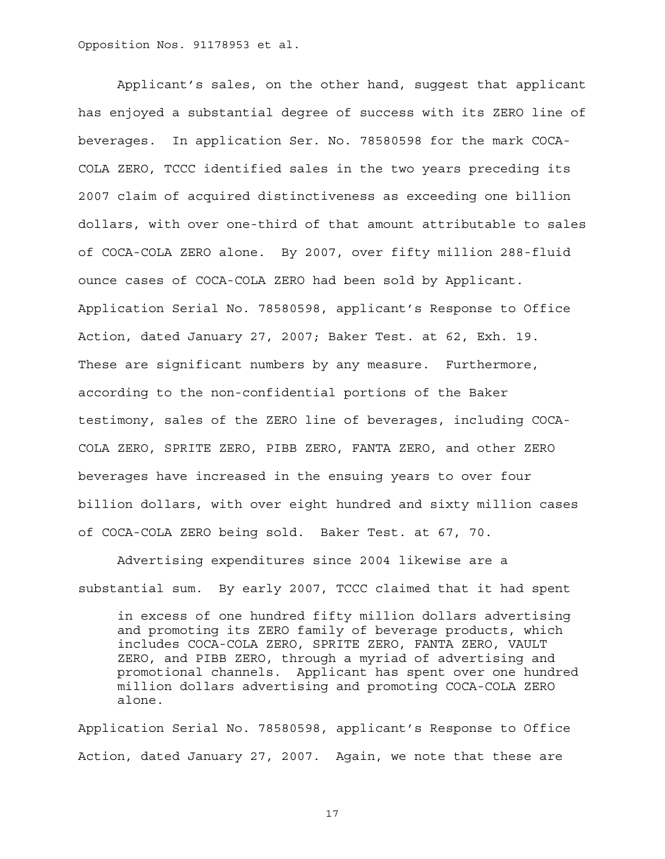Applicant's sales, on the other hand, suggest that applicant has enjoyed a substantial degree of success with its ZERO line of beverages. In application Ser. No. 78580598 for the mark COCA-COLA ZERO, TCCC identified sales in the two years preceding its 2007 claim of acquired distinctiveness as exceeding one billion dollars, with over one-third of that amount attributable to sales of COCA-COLA ZERO alone. By 2007, over fifty million 288-fluid ounce cases of COCA-COLA ZERO had been sold by Applicant. Application Serial No. 78580598, applicant's Response to Office Action, dated January 27, 2007; Baker Test. at 62, Exh. 19. These are significant numbers by any measure. Furthermore, according to the non-confidential portions of the Baker testimony, sales of the ZERO line of beverages, including COCA-COLA ZERO, SPRITE ZERO, PIBB ZERO, FANTA ZERO, and other ZERO beverages have increased in the ensuing years to over four billion dollars, with over eight hundred and sixty million cases of COCA-COLA ZERO being sold. Baker Test. at 67, 70.

Advertising expenditures since 2004 likewise are a substantial sum. By early 2007, TCCC claimed that it had spent

in excess of one hundred fifty million dollars advertising and promoting its ZERO family of beverage products, which includes COCA-COLA ZERO, SPRITE ZERO, FANTA ZERO, VAULT ZERO, and PIBB ZERO, through a myriad of advertising and promotional channels. Applicant has spent over one hundred million dollars advertising and promoting COCA-COLA ZERO alone.

Application Serial No. 78580598, applicant's Response to Office Action, dated January 27, 2007. Again, we note that these are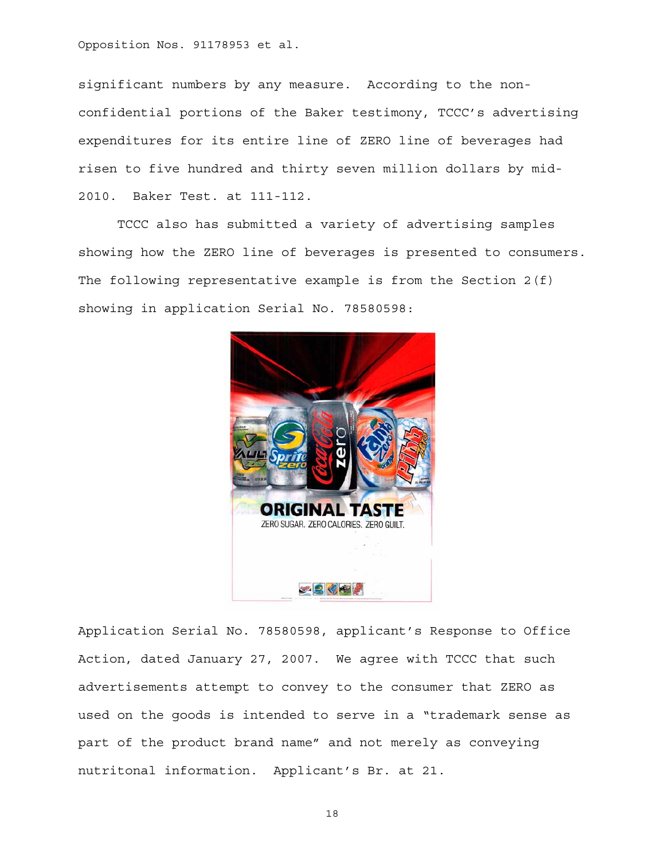significant numbers by any measure. According to the nonconfidential portions of the Baker testimony, TCCC's advertising expenditures for its entire line of ZERO line of beverages had risen to five hundred and thirty seven million dollars by mid-2010. Baker Test. at 111-112.

TCCC also has submitted a variety of advertising samples showing how the ZERO line of beverages is presented to consumers. The following representative example is from the Section 2(f) showing in application Serial No. 78580598:



Application Serial No. 78580598, applicant's Response to Office Action, dated January 27, 2007. We agree with TCCC that such advertisements attempt to convey to the consumer that ZERO as used on the goods is intended to serve in a "trademark sense as part of the product brand name" and not merely as conveying nutritonal information. Applicant's Br. at 21.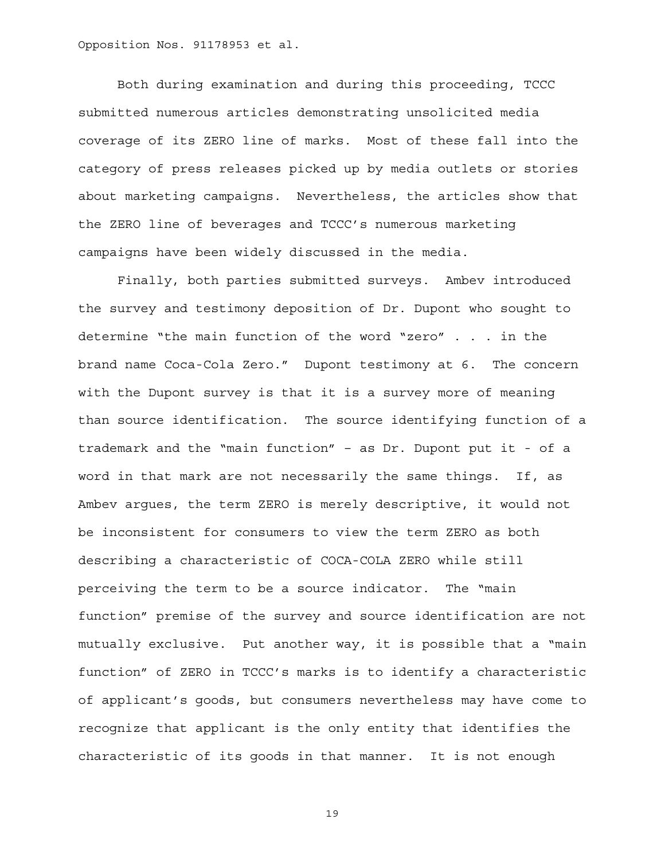Both during examination and during this proceeding, TCCC submitted numerous articles demonstrating unsolicited media coverage of its ZERO line of marks. Most of these fall into the category of press releases picked up by media outlets or stories about marketing campaigns. Nevertheless, the articles show that the ZERO line of beverages and TCCC's numerous marketing campaigns have been widely discussed in the media.

Finally, both parties submitted surveys. Ambev introduced the survey and testimony deposition of Dr. Dupont who sought to determine "the main function of the word "zero" . . . in the brand name Coca-Cola Zero." Dupont testimony at 6. The concern with the Dupont survey is that it is a survey more of meaning than source identification. The source identifying function of a trademark and the "main function" – as Dr. Dupont put it - of a word in that mark are not necessarily the same things. If, as Ambev argues, the term ZERO is merely descriptive, it would not be inconsistent for consumers to view the term ZERO as both describing a characteristic of COCA-COLA ZERO while still perceiving the term to be a source indicator. The "main function" premise of the survey and source identification are not mutually exclusive. Put another way, it is possible that a "main function" of ZERO in TCCC's marks is to identify a characteristic of applicant's goods, but consumers nevertheless may have come to recognize that applicant is the only entity that identifies the characteristic of its goods in that manner. It is not enough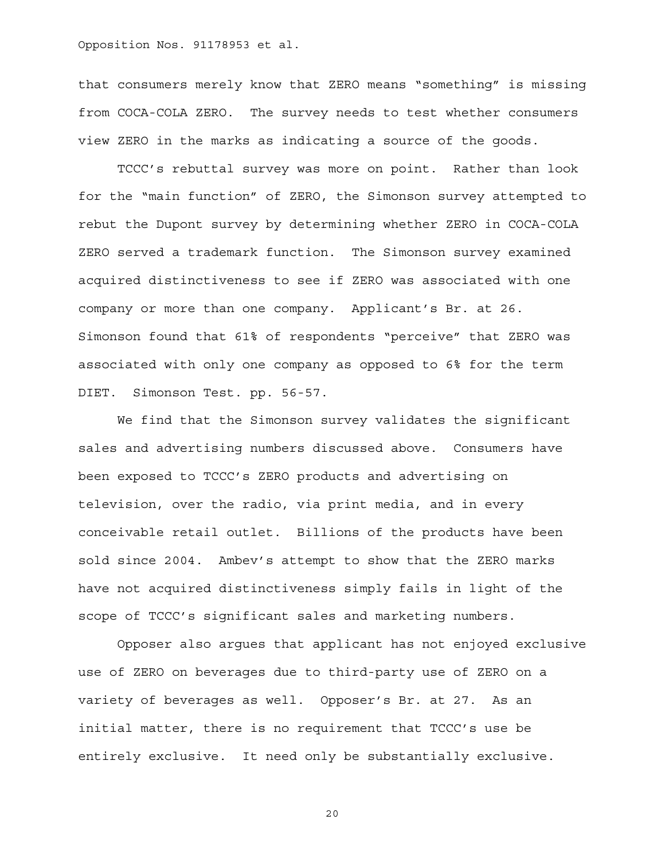that consumers merely know that ZERO means "something" is missing from COCA-COLA ZERO. The survey needs to test whether consumers view ZERO in the marks as indicating a source of the goods.

TCCC's rebuttal survey was more on point. Rather than look for the "main function" of ZERO, the Simonson survey attempted to rebut the Dupont survey by determining whether ZERO in COCA-COLA ZERO served a trademark function. The Simonson survey examined acquired distinctiveness to see if ZERO was associated with one company or more than one company. Applicant's Br. at 26. Simonson found that 61% of respondents "perceive" that ZERO was associated with only one company as opposed to 6% for the term DIET. Simonson Test. pp. 56-57.

We find that the Simonson survey validates the significant sales and advertising numbers discussed above. Consumers have been exposed to TCCC's ZERO products and advertising on television, over the radio, via print media, and in every conceivable retail outlet. Billions of the products have been sold since 2004. Ambev's attempt to show that the ZERO marks have not acquired distinctiveness simply fails in light of the scope of TCCC's significant sales and marketing numbers.

Opposer also argues that applicant has not enjoyed exclusive use of ZERO on beverages due to third-party use of ZERO on a variety of beverages as well. Opposer's Br. at 27. As an initial matter, there is no requirement that TCCC's use be entirely exclusive. It need only be substantially exclusive.